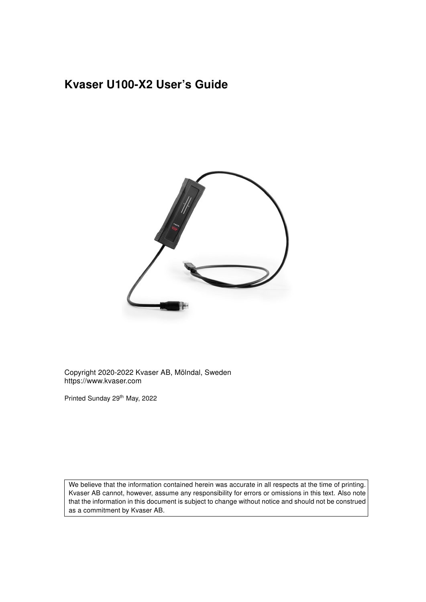## Kvaser U100-X2 User's Guide



Copyright 2020-2022 Kvaser AB, Mölndal, Sweden https://www.kvaser.com

Printed Sunday 29<sup>th</sup> May, 2022

We believe that the information contained herein was accurate in all respects at the time of printing. Kvaser AB cannot, however, assume any responsibility for errors or omissions in this text. Also note that the information in this document is subject to change without notice and should not be construed as a commitment by Kvaser AB.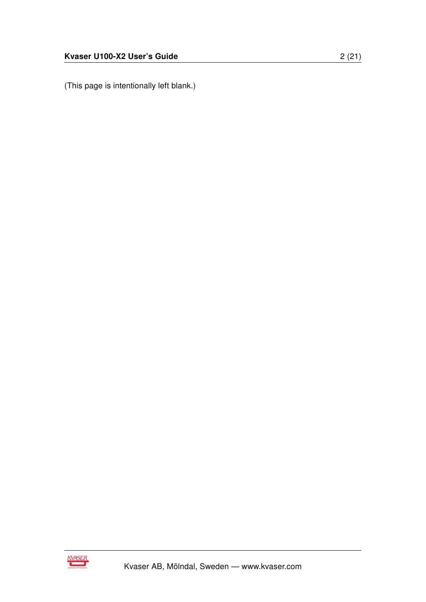(This page is intentionally left blank.)

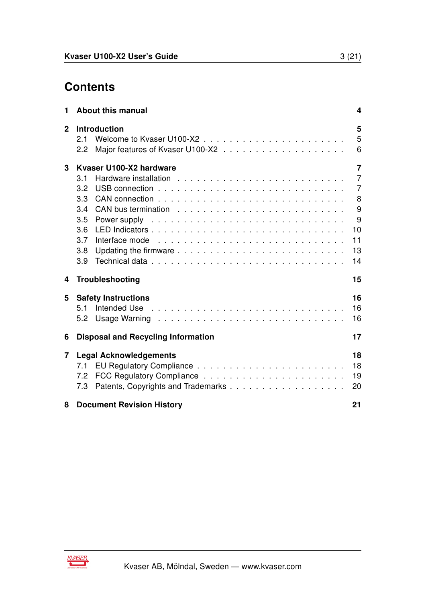# **Contents**

| 1.             | <b>About this manual</b>                                                                                                                                                                                                                                                                                                                                                                                                                                                                                                                           | 4                                                                                   |
|----------------|----------------------------------------------------------------------------------------------------------------------------------------------------------------------------------------------------------------------------------------------------------------------------------------------------------------------------------------------------------------------------------------------------------------------------------------------------------------------------------------------------------------------------------------------------|-------------------------------------------------------------------------------------|
| $\mathbf{2}$   | <b>Introduction</b><br>Welcome to Kvaser U100-X2<br>2.1<br>$2.2\phantom{0}$                                                                                                                                                                                                                                                                                                                                                                                                                                                                        | 5<br>5<br>6                                                                         |
| 3              | Kvaser U100-X2 hardware<br>3.1<br>3.2<br>3.3<br>3.4<br>3.5<br>Power supply research research resources in the supply research resources in the supply resources in the supply of the supply of the supply of the supply of the supply of the supply of the supply of the supply of the suppl<br>3.6<br>3.7<br>Interface mode recoverse and the series of the series of the series of the series of the series of the series of the series of the series of the series of the series of the series of the series of the series of the series<br>3.8 | $\overline{7}$<br>$\overline{7}$<br>$\overline{7}$<br>8<br>9<br>9<br>10<br>11<br>13 |
| 4              | 3.9<br>Troubleshooting                                                                                                                                                                                                                                                                                                                                                                                                                                                                                                                             | 14<br>15                                                                            |
| 5              | <b>Safety Instructions</b><br>5.1<br>5.2                                                                                                                                                                                                                                                                                                                                                                                                                                                                                                           | 16<br>16<br>16                                                                      |
| 6              | <b>Disposal and Recycling Information</b>                                                                                                                                                                                                                                                                                                                                                                                                                                                                                                          | 17                                                                                  |
| $\overline{7}$ | <b>Legal Acknowledgements</b><br>7.1<br>7.2<br>7.3                                                                                                                                                                                                                                                                                                                                                                                                                                                                                                 | 18<br>18<br>19<br>20                                                                |
| 8              | <b>Document Revision History</b>                                                                                                                                                                                                                                                                                                                                                                                                                                                                                                                   | 21                                                                                  |

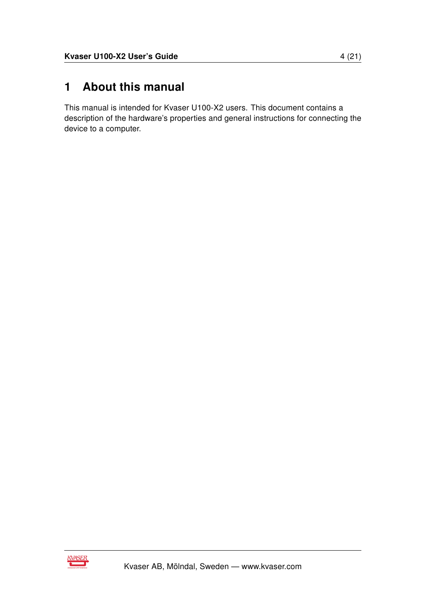## <span id="page-3-0"></span>1 About this manual

This manual is intended for Kvaser U100-X2 users. This document contains a description of the hardware's properties and general instructions for connecting the device to a computer.

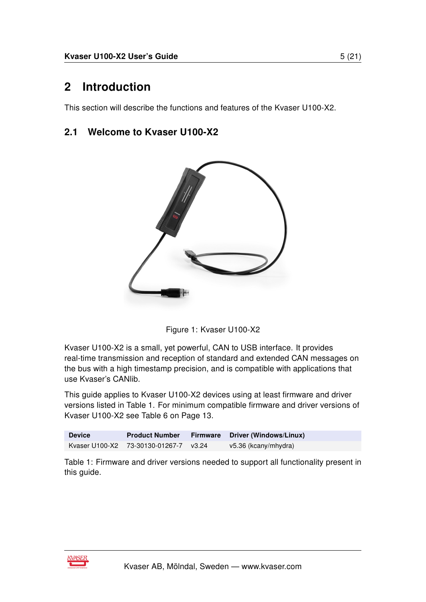## <span id="page-4-0"></span>2 Introduction

This section will describe the functions and features of the Kvaser U100-X2.

## <span id="page-4-1"></span>2.1 Welcome to Kvaser U100-X2



Figure 1: Kvaser U100-X2

Kvaser U100-X2 is a small, yet powerful, CAN to USB interface. It provides real-time transmission and reception of standard and extended CAN messages on the bus with a high timestamp precision, and is compatible with applications that use Kvaser's CANlib.

This guide applies to Kvaser U100-X2 devices using at least firmware and driver versions listed in [Table 1.](#page-4-2) For minimum compatible firmware and driver versions of Kvaser U100-X2 see [Table 6 on Page 13.](#page-12-1)

| <b>Device</b> |                                       | <b>Product Number</b> Firmware Driver (Windows/Linux) |
|---------------|---------------------------------------|-------------------------------------------------------|
|               | Kvaser U100-X2 73-30130-01267-7 v3.24 | v5.36 (kcany/mhydra)                                  |

<span id="page-4-2"></span>Table 1: Firmware and driver versions needed to support all functionality present in this guide.

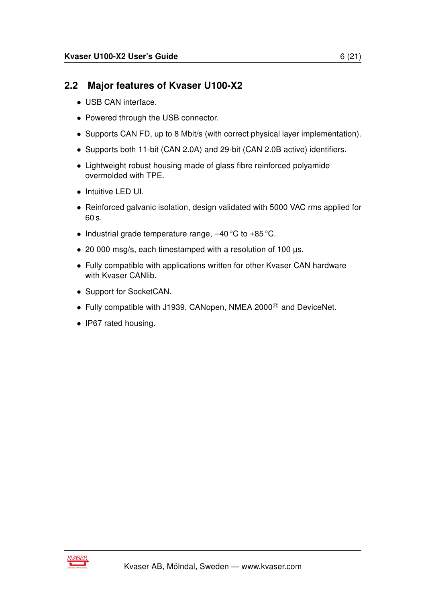#### <span id="page-5-0"></span>2.2 Major features of Kvaser U100-X2

- USB CAN interface.
- Powered through the USB connector.
- Supports CAN FD, up to 8 Mbit/s (with correct physical layer implementation).
- Supports both 11-bit (CAN 2.0A) and 29-bit (CAN 2.0B active) identifiers.
- Lightweight robust housing made of glass fibre reinforced polyamide overmolded with TPE.
- Intuitive LED UI.
- Reinforced galvanic isolation, design validated with 5000 VAC rms applied for 60 s.
- Industrial grade temperature range, −40 ◦C to +85 ◦C.
- 20 000 msg/s, each timestamped with a resolution of 100 µs.
- Fully compatible with applications written for other Kvaser CAN hardware with Kvaser CANlib.
- Support for SocketCAN.
- Fully compatible with J1939, CANopen, NMEA 2000 $^{\circledR}$  and DeviceNet.
- IP67 rated housing.

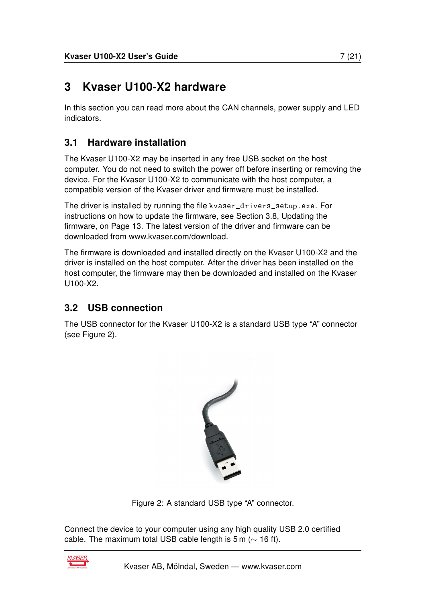# <span id="page-6-0"></span>3 Kvaser U100-X2 hardware

In this section you can read more about the CAN channels, power supply and LED indicators.

## <span id="page-6-1"></span>3.1 Hardware installation

The Kvaser U100-X2 may be inserted in any free USB socket on the host computer. You do not need to switch the power off before inserting or removing the device. For the Kvaser U100-X2 to communicate with the host computer, a compatible version of the Kvaser driver and firmware must be installed.

The driver is installed by running the file kvaser\_drivers\_setup.exe. For instructions on how to update the firmware, see [Section 3.8, Updating the](#page-12-0) [firmware, on Page 13.](#page-12-0) The latest version of the driver and firmware can be downloaded from [www.kvaser.com/download.](https://www.kvaser.com/download/)

The firmware is downloaded and installed directly on the Kvaser U100-X2 and the driver is installed on the host computer. After the driver has been installed on the host computer, the firmware may then be downloaded and installed on the Kvaser U100-X2.

## <span id="page-6-2"></span>3.2 USB connection

The USB connector for the Kvaser U100-X2 is a standard USB type "A" connector (see [Figure 2\)](#page-6-3).



<span id="page-6-3"></span>Figure 2: A standard USB type "A" connector.

Connect the device to your computer using any high quality USB 2.0 certified cable. The maximum total USB cable length is 5 m ( $\sim$  16 ft).

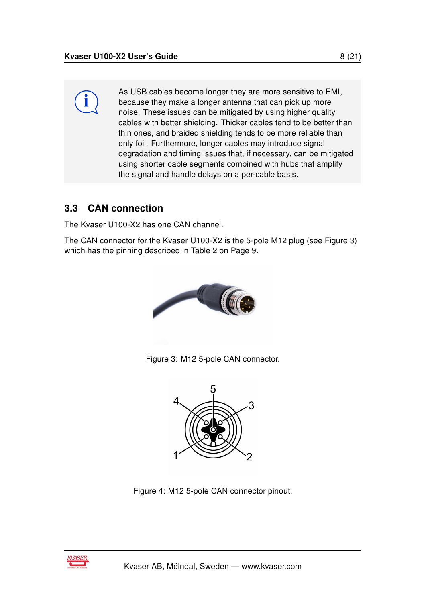As USB cables become longer they are more sensitive to EMI, because they make a longer antenna that can pick up more noise. These issues can be mitigated by using higher quality cables with better shielding. Thicker cables tend to be better than thin ones, and braided shielding tends to be more reliable than only foil. Furthermore, longer cables may introduce signal degradation and timing issues that, if necessary, can be mitigated using shorter cable segments combined with hubs that amplify the signal and handle delays on a per-cable basis.

## <span id="page-7-0"></span>3.3 CAN connection

The Kvaser U100-X2 has one CAN channel.

The CAN connector for the Kvaser U100-X2 is the 5-pole M12 plug (see [Figure 3\)](#page-7-1) which has the pinning described in [Table 2 on Page 9.](#page-8-2)



Figure 3: M12 5-pole CAN connector.

<span id="page-7-1"></span>

Figure 4: M12 5-pole CAN connector pinout.

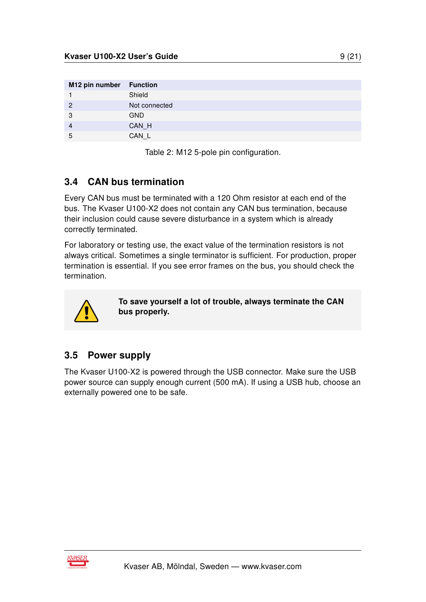| M12 pin number | <b>Function</b> |
|----------------|-----------------|
|                | Shield          |
| 2              | Not connected   |
| 3              | <b>GND</b>      |
| 4              | CAN_H           |
| 5              | CAN L           |

<span id="page-8-2"></span>Table 2: M12 5-pole pin configuration.

## <span id="page-8-0"></span>3.4 CAN bus termination

Every CAN bus must be terminated with a 120 Ohm resistor at each end of the bus. The Kvaser U100-X2 does not contain any CAN bus termination, because their inclusion could cause severe disturbance in a system which is already correctly terminated.

For laboratory or testing use, the exact value of the termination resistors is not always critical. Sometimes a single terminator is sufficient. For production, proper termination is essential. If you see error frames on the bus, you should check the termination.



To save yourself a lot of trouble, always terminate the CAN bus properly.

## <span id="page-8-1"></span>3.5 Power supply

The Kvaser U100-X2 is powered through the USB connector. Make sure the USB power source can supply enough current (500 mA). If using a USB hub, choose an externally powered one to be safe.

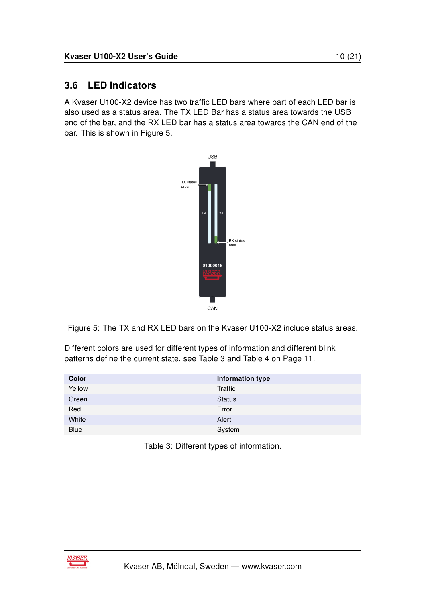## <span id="page-9-0"></span>3.6 LED Indicators

A Kvaser U100-X2 device has two traffic LED bars where part of each LED bar is also used as a status area. The TX LED Bar has a status area towards the USB end of the bar, and the RX LED bar has a status area towards the CAN end of the bar. This is shown in [Figure 5.](#page-9-1)



<span id="page-9-1"></span>Figure 5: The TX and RX LED bars on the Kvaser U100-X2 include status areas.

Different colors are used for different types of information and different blink patterns define the current state, see [Table 3](#page-9-2) and [Table 4 on Page 11.](#page-10-1)

| <b>Color</b> | Information type |
|--------------|------------------|
| Yellow       | <b>Traffic</b>   |
| Green        | <b>Status</b>    |
| Red          | Error            |
| White        | Alert            |
| Blue         | System           |

<span id="page-9-2"></span>Table 3: Different types of information.

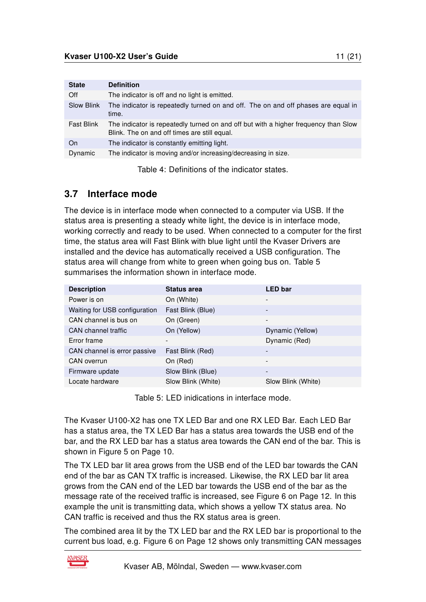| <b>State</b>      | <b>Definition</b>                                                                                                                   |
|-------------------|-------------------------------------------------------------------------------------------------------------------------------------|
| Off               | The indicator is off and no light is emitted.                                                                                       |
| <b>Slow Blink</b> | The indicator is repeatedly turned on and off. The on and off phases are equal in<br>time.                                          |
| <b>Fast Blink</b> | The indicator is repeatedly turned on and off but with a higher frequency than Slow<br>Blink. The on and off times are still equal. |
| On                | The indicator is constantly emitting light.                                                                                         |
| Dynamic           | The indicator is moving and/or increasing/decreasing in size.                                                                       |

<span id="page-10-1"></span>Table 4: Definitions of the indicator states.

## <span id="page-10-0"></span>3.7 Interface mode

The device is in interface mode when connected to a computer via USB. If the status area is presenting a steady white light, the device is in interface mode, working correctly and ready to be used. When connected to a computer for the first time, the status area will Fast Blink with blue light until the Kvaser Drivers are installed and the device has automatically received a USB configuration. The status area will change from white to green when going bus on. [Table 5](#page-10-2) summarises the information shown in interface mode.

| <b>Description</b>            | <b>Status area</b>       | <b>LED bar</b>           |
|-------------------------------|--------------------------|--------------------------|
| Power is on                   | On (White)               |                          |
| Waiting for USB configuration | Fast Blink (Blue)        |                          |
| CAN channel is bus on         | On (Green)               |                          |
| CAN channel traffic           | On (Yellow)              | Dynamic (Yellow)         |
| Error frame                   | $\overline{\phantom{a}}$ | Dynamic (Red)            |
| CAN channel is error passive  | Fast Blink (Red)         |                          |
| CAN overrun                   | On (Red)                 | $\overline{\phantom{a}}$ |
| Firmware update               | Slow Blink (Blue)        | $\overline{\phantom{a}}$ |
| Locate hardware               | Slow Blink (White)       | Slow Blink (White)       |

<span id="page-10-2"></span>Table 5: LED inidications in interface mode.

The Kvaser U100-X2 has one TX LED Bar and one RX LED Bar. Each LED Bar has a status area, the TX LED Bar has a status area towards the USB end of the bar, and the RX LED bar has a status area towards the CAN end of the bar. This is shown in [Figure 5 on Page 10.](#page-9-1)

The TX LED bar lit area grows from the USB end of the LED bar towards the CAN end of the bar as CAN TX traffic is increased. Likewise, the RX LED bar lit area grows from the CAN end of the LED bar towards the USB end of the bar as the message rate of the received traffic is increased, see [Figure 6 on Page 12.](#page-11-0) In this example the unit is transmitting data, which shows a yellow TX status area. No CAN traffic is received and thus the RX status area is green.

The combined area lit by the TX LED bar and the RX LED bar is proportional to the current bus load, e.g. [Figure 6 on Page 12](#page-11-0) shows only transmitting CAN messages

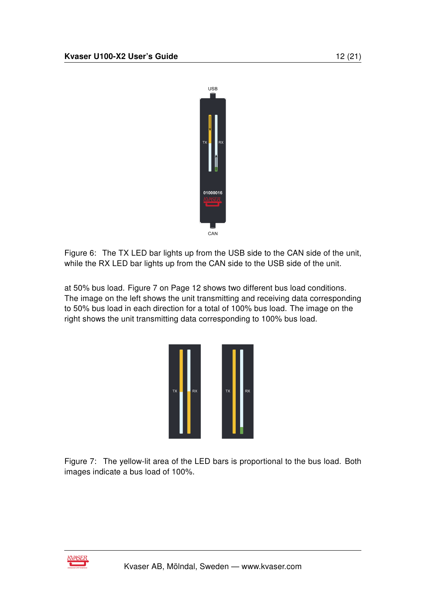

<span id="page-11-0"></span>Figure 6: The TX LED bar lights up from the USB side to the CAN side of the unit, while the RX LED bar lights up from the CAN side to the USB side of the unit.

at 50% bus load. [Figure 7 on Page 12](#page-11-1) shows two different bus load conditions. The image on the left shows the unit transmitting and receiving data corresponding to 50% bus load in each direction for a total of 100% bus load. The image on the right shows the unit transmitting data corresponding to 100% bus load.



<span id="page-11-1"></span>Figure 7: The yellow-lit area of the LED bars is proportional to the bus load. Both images indicate a bus load of 100%.

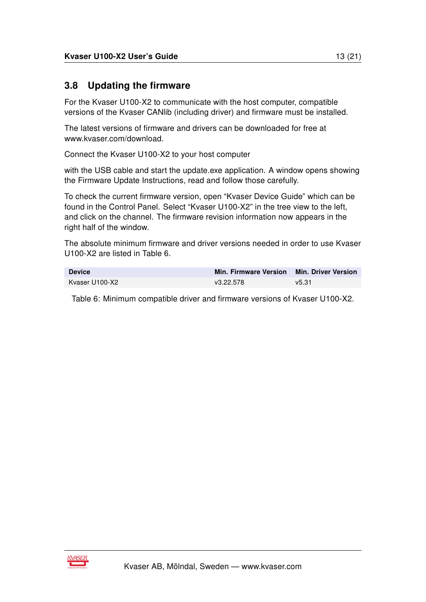### <span id="page-12-0"></span>3.8 Updating the firmware

For the Kvaser U100-X2 to communicate with the host computer, compatible versions of the Kvaser CANlib (including driver) and firmware must be installed.

The latest versions of firmware and drivers can be downloaded for free at [www.kvaser.com/download.](https://www.kvaser.com/download/)

Connect the Kvaser U100-X2 to your host computer

with the USB cable and start the update.exe application. A window opens showing the Firmware Update Instructions, read and follow those carefully.

To check the current firmware version, open "Kvaser Device Guide" which can be found in the Control Panel. Select "Kvaser U100-X2" in the tree view to the left, and click on the channel. The firmware revision information now appears in the right half of the window.

The absolute minimum firmware and driver versions needed in order to use Kvaser U100-X2 are listed in [Table 6.](#page-12-1)

| <b>Device</b>  | Min. Firmware Version Min. Driver Version |       |
|----------------|-------------------------------------------|-------|
| Kvaser U100-X2 | v3.22.578                                 | v5.31 |

<span id="page-12-1"></span>Table 6: Minimum compatible driver and firmware versions of Kvaser U100-X2.

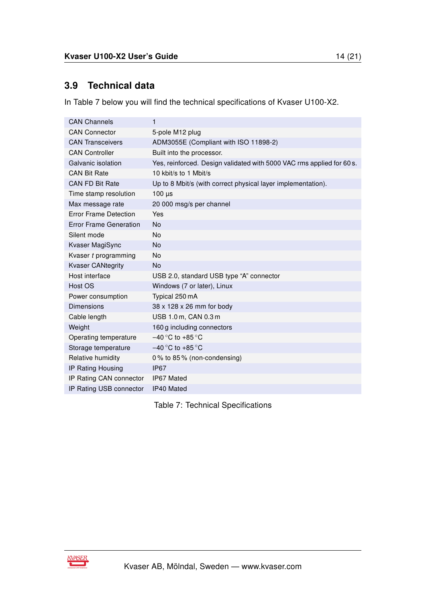### <span id="page-13-0"></span>3.9 Technical data

In [Table 7](#page-13-1) below you will find the technical specifications of Kvaser U100-X2.

| <b>CAN Channels</b>           | 1                                                                     |
|-------------------------------|-----------------------------------------------------------------------|
| <b>CAN Connector</b>          | 5-pole M12 plug                                                       |
| <b>CAN Transceivers</b>       | ADM3055E (Compliant with ISO 11898-2)                                 |
| <b>CAN Controller</b>         | Built into the processor.                                             |
| Galvanic isolation            | Yes, reinforced. Design validated with 5000 VAC rms applied for 60 s. |
| <b>CAN Bit Rate</b>           | 10 kbit/s to 1 Mbit/s                                                 |
| <b>CAN FD Bit Rate</b>        | Up to 8 Mbit/s (with correct physical layer implementation).          |
| Time stamp resolution         | $100 \mu s$                                                           |
| Max message rate              | 20 000 msg/s per channel                                              |
| <b>Error Frame Detection</b>  | Yes                                                                   |
| <b>Error Frame Generation</b> | <b>No</b>                                                             |
| Silent mode                   | No                                                                    |
| Kvaser MagiSync               | <b>No</b>                                                             |
| Kvaser t programming          | No                                                                    |
| <b>Kvaser CANtegrity</b>      | <b>No</b>                                                             |
| Host interface                | USB 2.0, standard USB type "A" connector                              |
| Host OS                       | Windows (7 or later), Linux                                           |
| Power consumption             | Typical 250 mA                                                        |
| Dimensions                    | 38 x 128 x 26 mm for body                                             |
| Cable length                  | USB 1.0 m, CAN 0.3 m                                                  |
| Weight                        | 160 g including connectors                                            |
| Operating temperature         | $-40^{\circ}$ C to +85 $^{\circ}$ C                                   |
| Storage temperature           | $-40^{\circ}$ C to +85 $^{\circ}$ C                                   |
| Relative humidity             | 0% to 85% (non-condensing)                                            |
| IP Rating Housing             | IP <sub>67</sub>                                                      |
| IP Rating CAN connector       | <b>IP67 Mated</b>                                                     |
| IP Rating USB connector       | IP40 Mated                                                            |

<span id="page-13-1"></span>Table 7: Technical Specifications

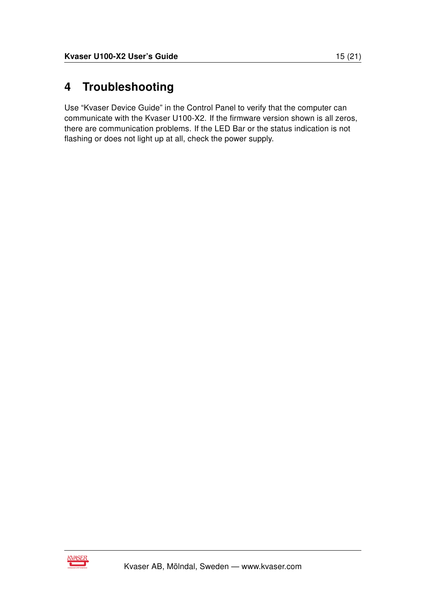# <span id="page-14-0"></span>4 Troubleshooting

Use "Kvaser Device Guide" in the Control Panel to verify that the computer can communicate with the Kvaser U100-X2. If the firmware version shown is all zeros, there are communication problems. If the LED Bar or the status indication is not flashing or does not light up at all, check the power supply.

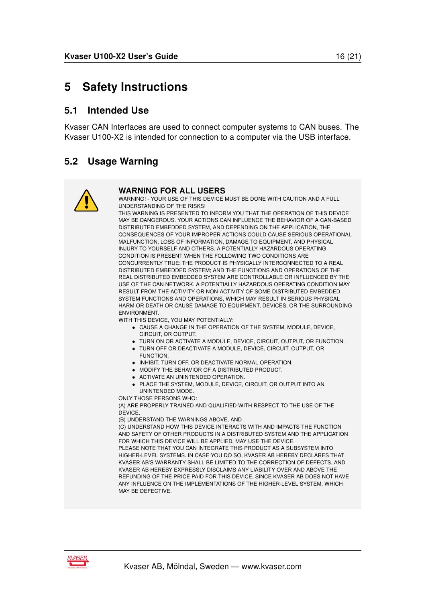## <span id="page-15-0"></span>5 Safety Instructions

#### <span id="page-15-1"></span>5.1 Intended Use

Kvaser CAN Interfaces are used to connect computer systems to CAN buses. The Kvaser U100-X2 is intended for connection to a computer via the USB interface.

## <span id="page-15-2"></span>5.2 Usage Warning



#### WARNING FOR ALL USERS

WARNING! - YOUR USE OF THIS DEVICE MUST BE DONE WITH CAUTION AND A FULL UNDERSTANDING OF THE RISKS!

THIS WARNING IS PRESENTED TO INFORM YOU THAT THE OPERATION OF THIS DEVICE MAY BE DANGEROUS. YOUR ACTIONS CAN INFLUENCE THE BEHAVIOR OF A CAN-BASED DISTRIBUTED EMBEDDED SYSTEM, AND DEPENDING ON THE APPLICATION, THE CONSEQUENCES OF YOUR IMPROPER ACTIONS COULD CAUSE SERIOUS OPERATIONAL MALFUNCTION, LOSS OF INFORMATION, DAMAGE TO EQUIPMENT, AND PHYSICAL INJURY TO YOURSELF AND OTHERS. A POTENTIALLY HAZARDOUS OPERATING CONDITION IS PRESENT WHEN THE FOLLOWING TWO CONDITIONS ARE CONCURRENTLY TRUE: THE PRODUCT IS PHYSICALLY INTERCONNECTED TO A REAL DISTRIBUTED EMBEDDED SYSTEM; AND THE FUNCTIONS AND OPERATIONS OF THE REAL DISTRIBUTED EMBEDDED SYSTEM ARE CONTROLLABLE OR INFLUENCED BY THE USE OF THE CAN NETWORK. A POTENTIALLY HAZARDOUS OPERATING CONDITION MAY RESULT FROM THE ACTIVITY OR NON-ACTIVITY OF SOME DISTRIBUTED EMBEDDED SYSTEM FUNCTIONS AND OPERATIONS, WHICH MAY RESULT IN SERIOUS PHYSICAL HARM OR DEATH OR CAUSE DAMAGE TO EQUIPMENT, DEVICES, OR THE SURROUNDING ENVIRONMENT.

WITH THIS DEVICE, YOU MAY POTENTIALLY:

- CAUSE A CHANGE IN THE OPERATION OF THE SYSTEM, MODULE, DEVICE, CIRCUIT, OR OUTPUT.
- TURN ON OR ACTIVATE A MODULE, DEVICE, CIRCUIT, OUTPUT, OR FUNCTION.
- TURN OFF OR DEACTIVATE A MODULE, DEVICE, CIRCUIT, OUTPUT, OR
- FUNCTION. • INHIBIT, TURN OFF, OR DEACTIVATE NORMAL OPERATION.
- MODIFY THE BEHAVIOR OF A DISTRIBUTED PRODUCT.
- ACTIVATE AN UNINTENDED OPERATION.
- PLACE THE SYSTEM, MODULE, DEVICE, CIRCUIT, OR OUTPUT INTO AN UNINTENDED MODE.
- ONLY THOSE PERSONS WHO:

(A) ARE PROPERLY TRAINED AND QUALIFIED WITH RESPECT TO THE USE OF THE **DEVICE** 

(B) UNDERSTAND THE WARNINGS ABOVE, AND

(C) UNDERSTAND HOW THIS DEVICE INTERACTS WITH AND IMPACTS THE FUNCTION AND SAFETY OF OTHER PRODUCTS IN A DISTRIBUTED SYSTEM AND THE APPLICATION FOR WHICH THIS DEVICE WILL BE APPLIED, MAY USE THE DEVICE.

PLEASE NOTE THAT YOU CAN INTEGRATE THIS PRODUCT AS A SUBSYSTEM INTO HIGHER-LEVEL SYSTEMS. IN CASE YOU DO SO, KVASER AB HEREBY DECLARES THAT KVASER AB'S WARRANTY SHALL BE LIMITED TO THE CORRECTION OF DEFECTS, AND KVASER AB HEREBY EXPRESSLY DISCLAIMS ANY LIABILITY OVER AND ABOVE THE REFUNDING OF THE PRICE PAID FOR THIS DEVICE, SINCE KVASER AB DOES NOT HAVE ANY INFLUENCE ON THE IMPLEMENTATIONS OF THE HIGHER-LEVEL SYSTEM, WHICH MAY BE DEFECTIVE.

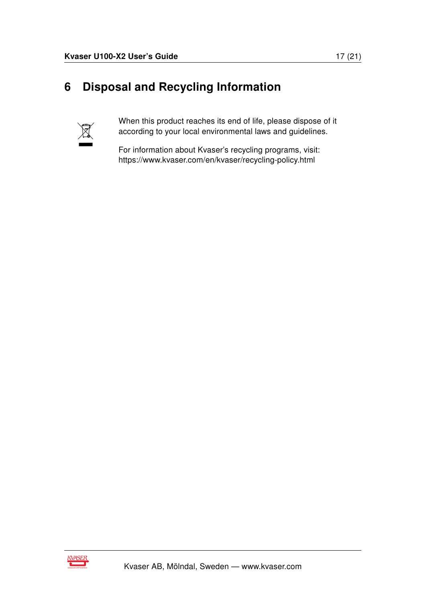# <span id="page-16-0"></span>6 Disposal and Recycling Information



When this product reaches its end of life, please dispose of it according to your local environmental laws and guidelines.

For information about Kvaser's recycling programs, visit: <https://www.kvaser.com/en/kvaser/recycling-policy.html>

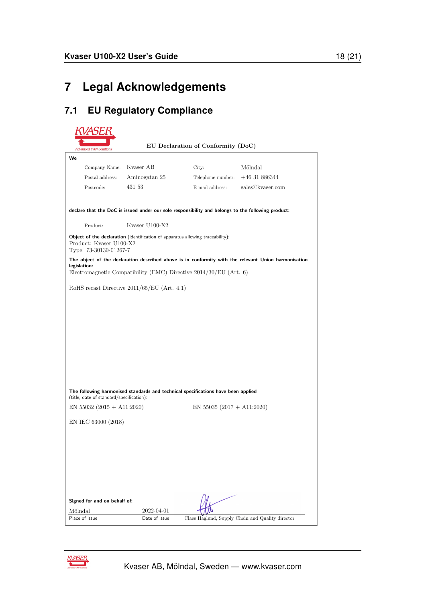# <span id="page-17-0"></span>7 Legal Acknowledgements

## <span id="page-17-1"></span>7.1 EU Regulatory Compliance

| <b>Advanced CAN Solutions</b>                                            |                                             | EU Declaration of Conformity (DoC)                                                                 |                                                                                                      |
|--------------------------------------------------------------------------|---------------------------------------------|----------------------------------------------------------------------------------------------------|------------------------------------------------------------------------------------------------------|
| We                                                                       |                                             |                                                                                                    |                                                                                                      |
| Company Name:                                                            | Kvaser AB                                   | City:                                                                                              | Mölndal                                                                                              |
| Postal address:                                                          | Aminogatan 25                               | Telephone number:                                                                                  | $+4631886344$                                                                                        |
| Postcode:                                                                | 431 53                                      | E-mail address:                                                                                    | sales@kvaser.com                                                                                     |
|                                                                          |                                             | declare that the DoC is issued under our sole responsibility and belongs to the following product: |                                                                                                      |
| Product:                                                                 | Kvaser U100-X2                              |                                                                                                    |                                                                                                      |
| Product: Kvaser U100-X2<br>Type: 73-30130-01267-7                        |                                             | <b>Object of the declaration</b> (identification of apparatus allowing traceability):              |                                                                                                      |
| legislation:                                                             |                                             |                                                                                                    | The object of the declaration described above is in conformity with the relevant Union harmonisation |
|                                                                          |                                             | Electromagnetic Compatibility (EMC) Directive $2014/30/EU$ (Art. 6)                                |                                                                                                      |
|                                                                          | RoHS recast Directive 2011/65/EU (Art. 4.1) |                                                                                                    |                                                                                                      |
|                                                                          |                                             |                                                                                                    |                                                                                                      |
|                                                                          |                                             |                                                                                                    |                                                                                                      |
|                                                                          |                                             |                                                                                                    |                                                                                                      |
|                                                                          |                                             |                                                                                                    |                                                                                                      |
|                                                                          |                                             |                                                                                                    |                                                                                                      |
|                                                                          |                                             |                                                                                                    |                                                                                                      |
|                                                                          |                                             |                                                                                                    |                                                                                                      |
|                                                                          |                                             |                                                                                                    |                                                                                                      |
|                                                                          |                                             |                                                                                                    |                                                                                                      |
|                                                                          |                                             |                                                                                                    |                                                                                                      |
|                                                                          |                                             |                                                                                                    |                                                                                                      |
|                                                                          |                                             |                                                                                                    |                                                                                                      |
|                                                                          |                                             |                                                                                                    |                                                                                                      |
|                                                                          |                                             | The following harmonised standards and technical specifications have been applied                  |                                                                                                      |
| (title, date of standard/specification):<br>EN 55032 $(2015 + A11:2020)$ |                                             | EN 55035 $(2017 + A11:2020)$                                                                       |                                                                                                      |
| EN IEC 63000 (2018)                                                      |                                             |                                                                                                    |                                                                                                      |
|                                                                          |                                             |                                                                                                    |                                                                                                      |
|                                                                          |                                             |                                                                                                    |                                                                                                      |
|                                                                          |                                             |                                                                                                    |                                                                                                      |
|                                                                          |                                             |                                                                                                    |                                                                                                      |
|                                                                          |                                             |                                                                                                    |                                                                                                      |
|                                                                          |                                             |                                                                                                    |                                                                                                      |
|                                                                          |                                             |                                                                                                    |                                                                                                      |
|                                                                          |                                             |                                                                                                    |                                                                                                      |
|                                                                          |                                             |                                                                                                    |                                                                                                      |
| Signed for and on behalf of:<br>Mölndal                                  | 2022-04-01                                  |                                                                                                    |                                                                                                      |

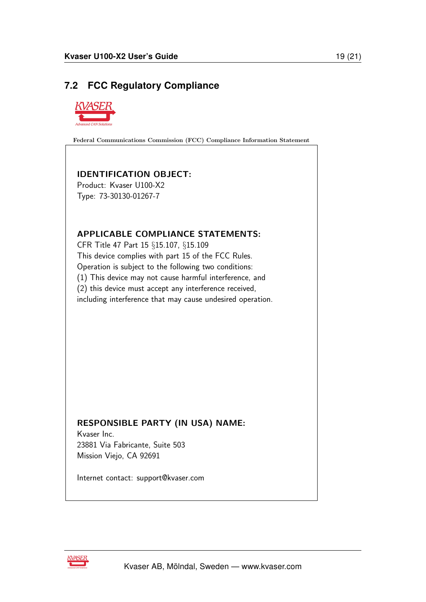## <span id="page-18-0"></span>7.2 FCC Regulatory Compliance



Federal Communications Commission (FCC) Compliance Information Statement

#### IDENTIFICATION OBJECT:

Product: Kvaser U100-X2 Type: 73-30130-01267-7

#### APPLICABLE COMPLIANCE STATEMENTS:

CFR Title 47 Part 15 §15.107, §15.109 This device complies with part 15 of the FCC Rules. Operation is subject to the following two conditions: (1) This device may not cause harmful interference, and (2) this device must accept any interference received, including interference that may cause undesired operation.

#### RESPONSIBLE PARTY (IN USA) NAME:

Kvaser Inc. 23881 Via Fabricante, Suite 503 Mission Viejo, CA 92691

Internet contact: support@kvaser.com

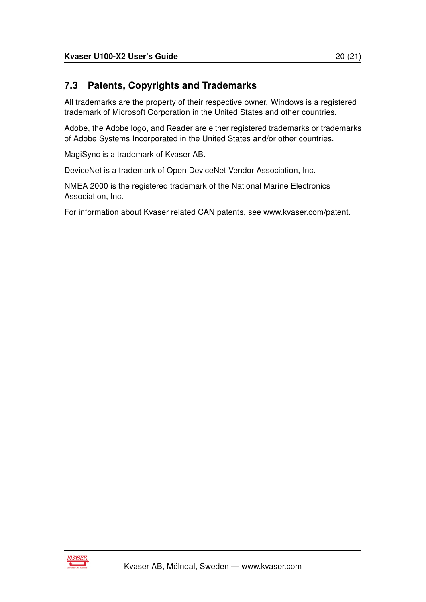## <span id="page-19-0"></span>7.3 Patents, Copyrights and Trademarks

All trademarks are the property of their respective owner. Windows is a registered trademark of Microsoft Corporation in the United States and other countries.

Adobe, the Adobe logo, and Reader are either registered trademarks or trademarks of Adobe Systems Incorporated in the United States and/or other countries.

MagiSync is a trademark of Kvaser AB.

DeviceNet is a trademark of Open DeviceNet Vendor Association, Inc.

NMEA 2000 is the registered trademark of the National Marine Electronics Association, Inc.

For information about Kvaser related CAN patents, see [www.kvaser.com/patent.](https://www.kvaser.com/patent/)